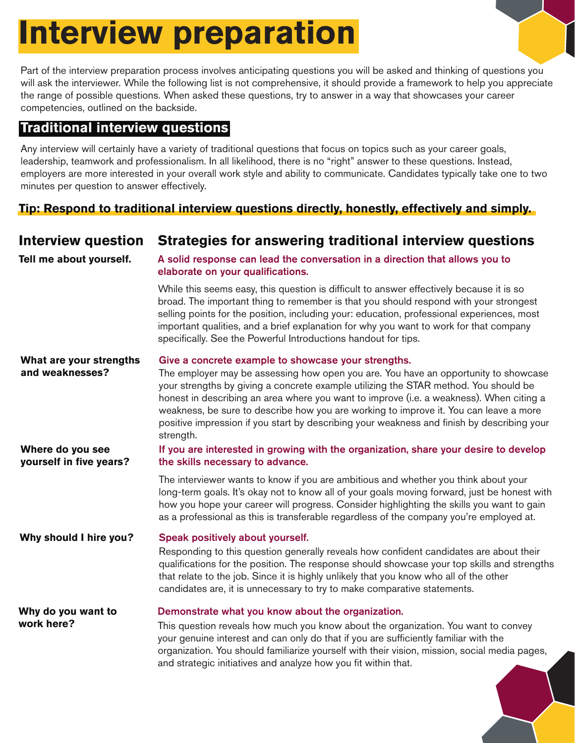# **Interview preparation**

Part of the interview preparation process involves anticipating questions you will be asked and thinking of questions you will ask the interviewer. While the following list is not comprehensive, it should provide a framework to help you appreciate the range of possible questions. When asked these questions, try to answer in a way that showcases your career competencies, outlined on the backside.

## **Traditional interview questions**

Any interview will certainly have a variety of traditional questions that focus on topics such as your career goals, leadership, teamwork and professionalism. In all likelihood, there is no "right" answer to these questions. Instead, employers are more interested in your overall work style and ability to communicate. Candidates typically take one to two minutes per question to answer effectively.

## **Tip: Respond to traditional interview questions directly, honestly, effectively and simply.**

| <b>Interview question</b>                   | Strategies for answering traditional interview questions                                                                                                                                                                                                                                                                                                                                                                                                                                                                          |
|---------------------------------------------|-----------------------------------------------------------------------------------------------------------------------------------------------------------------------------------------------------------------------------------------------------------------------------------------------------------------------------------------------------------------------------------------------------------------------------------------------------------------------------------------------------------------------------------|
| Tell me about yourself.                     | A solid response can lead the conversation in a direction that allows you to<br>elaborate on your qualifications.                                                                                                                                                                                                                                                                                                                                                                                                                 |
|                                             | While this seems easy, this question is difficult to answer effectively because it is so<br>broad. The important thing to remember is that you should respond with your strongest<br>selling points for the position, including your: education, professional experiences, most<br>important qualities, and a brief explanation for why you want to work for that company<br>specifically. See the Powerful Introductions handout for tips.                                                                                       |
| What are your strengths<br>and weaknesses?  | Give a concrete example to showcase your strengths.<br>The employer may be assessing how open you are. You have an opportunity to showcase<br>your strengths by giving a concrete example utilizing the STAR method. You should be<br>honest in describing an area where you want to improve (i.e. a weakness). When citing a<br>weakness, be sure to describe how you are working to improve it. You can leave a more<br>positive impression if you start by describing your weakness and finish by describing your<br>strength. |
| Where do you see<br>yourself in five years? | If you are interested in growing with the organization, share your desire to develop<br>the skills necessary to advance.                                                                                                                                                                                                                                                                                                                                                                                                          |
|                                             | The interviewer wants to know if you are ambitious and whether you think about your<br>long-term goals. It's okay not to know all of your goals moving forward, just be honest with<br>how you hope your career will progress. Consider highlighting the skills you want to gain<br>as a professional as this is transferable regardless of the company you're employed at.                                                                                                                                                       |
| Why should I hire you?                      | Speak positively about yourself.<br>Responding to this question generally reveals how confident candidates are about their<br>qualifications for the position. The response should showcase your top skills and strengths<br>that relate to the job. Since it is highly unlikely that you know who all of the other<br>candidates are, it is unnecessary to try to make comparative statements.                                                                                                                                   |
| Why do you want to<br>work here?            | Demonstrate what you know about the organization.<br>This question reveals how much you know about the organization. You want to convey<br>your genuine interest and can only do that if you are sufficiently familiar with the<br>organization. You should familiarize yourself with their vision, mission, social media pages,<br>and strategic initiatives and analyze how you fit within that.                                                                                                                                |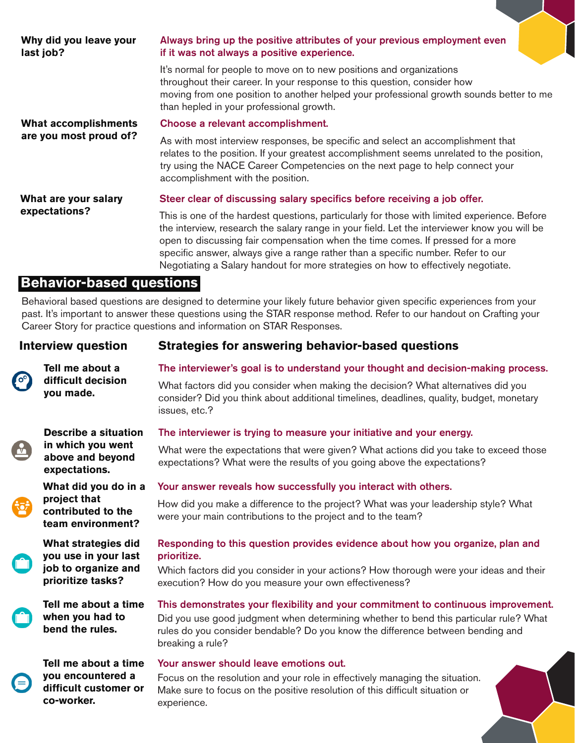| Why did you leave your<br>last job? | Always bring up the positive attributes of your previous employment even<br>if it was not always a positive experience.                                                                                                                                                                                                                                                                                                                                  |
|-------------------------------------|----------------------------------------------------------------------------------------------------------------------------------------------------------------------------------------------------------------------------------------------------------------------------------------------------------------------------------------------------------------------------------------------------------------------------------------------------------|
|                                     | It's normal for people to move on to new positions and organizations<br>throughout their career. In your response to this question, consider how<br>moving from one position to another helped your professional growth sounds better to me<br>than hepled in your professional growth.                                                                                                                                                                  |
| What accomplishments                | Choose a relevant accomplishment.                                                                                                                                                                                                                                                                                                                                                                                                                        |
| are you most proud of?              | As with most interview responses, be specific and select an accomplishment that<br>relates to the position. If your greatest accomplishment seems unrelated to the position,<br>try using the NACE Career Competencies on the next page to help connect your<br>accomplishment with the position.                                                                                                                                                        |
| What are your salary                | Steer clear of discussing salary specifics before receiving a job offer.                                                                                                                                                                                                                                                                                                                                                                                 |
| expectations?                       | This is one of the hardest questions, particularly for those with limited experience. Before<br>the interview, research the salary range in your field. Let the interviewer know you will be<br>open to discussing fair compensation when the time comes. If pressed for a more<br>specific answer, always give a range rather than a specific number. Refer to our<br>Negotiating a Salary handout for more strategies on how to effectively negotiate. |

### **Behavior-based questions**

**when you had to bend the rules.**

**co-worker.**

**Tell me about a time you encountered a difficult customer or** 

Behavioral based questions are designed to determine your likely future behavior given specific experiences from your past. It's important to answer these questions using the STAR response method. Refer to our handout on Crafting your Career Story for practice questions and information on STAR Responses.

| <b>Interview question</b> |                                                                                         | <b>Strategies for answering behavior-based questions</b>                                                                                                                                       |
|---------------------------|-----------------------------------------------------------------------------------------|------------------------------------------------------------------------------------------------------------------------------------------------------------------------------------------------|
| $\mathbf{e}$              | Tell me about a<br>difficult decision<br>you made.                                      | The interviewer's goal is to understand your thought and decision-making process.                                                                                                              |
|                           |                                                                                         | What factors did you consider when making the decision? What alternatives did you<br>consider? Did you think about additional timelines, deadlines, quality, budget, monetary<br>issues, etc.? |
| $\sqrt{ }$                | <b>Describe a situation</b><br>in which you went<br>above and beyond<br>expectations.   | The interviewer is trying to measure your initiative and your energy.                                                                                                                          |
|                           |                                                                                         | What were the expectations that were given? What actions did you take to exceed those<br>expectations? What were the results of you going above the expectations?                              |
|                           | What did you do in a<br>project that<br>contributed to the<br>team environment?         | Your answer reveals how successfully you interact with others.                                                                                                                                 |
|                           |                                                                                         | How did you make a difference to the project? What was your leadership style? What<br>were your main contributions to the project and to the team?                                             |
|                           | What strategies did<br>you use in your last<br>job to organize and<br>prioritize tasks? | Responding to this question provides evidence about how you organize, plan and<br>prioritize.                                                                                                  |
|                           |                                                                                         | Which factors did you consider in your actions? How thorough were your ideas and their<br>execution? How do you measure your own effectiveness?                                                |
|                           | Tell me about a time                                                                    | This demonstrates your flexibility and your commitment to continuous improvement.                                                                                                              |

Did you use good judgment when determining whether to bend this particular rule? What rules do you consider bendable? Do you know the difference between bending and breaking a rule?

#### Your answer should leave emotions out.

Focus on the resolution and your role in effectively managing the situation. Make sure to focus on the positive resolution of this difficult situation or experience.